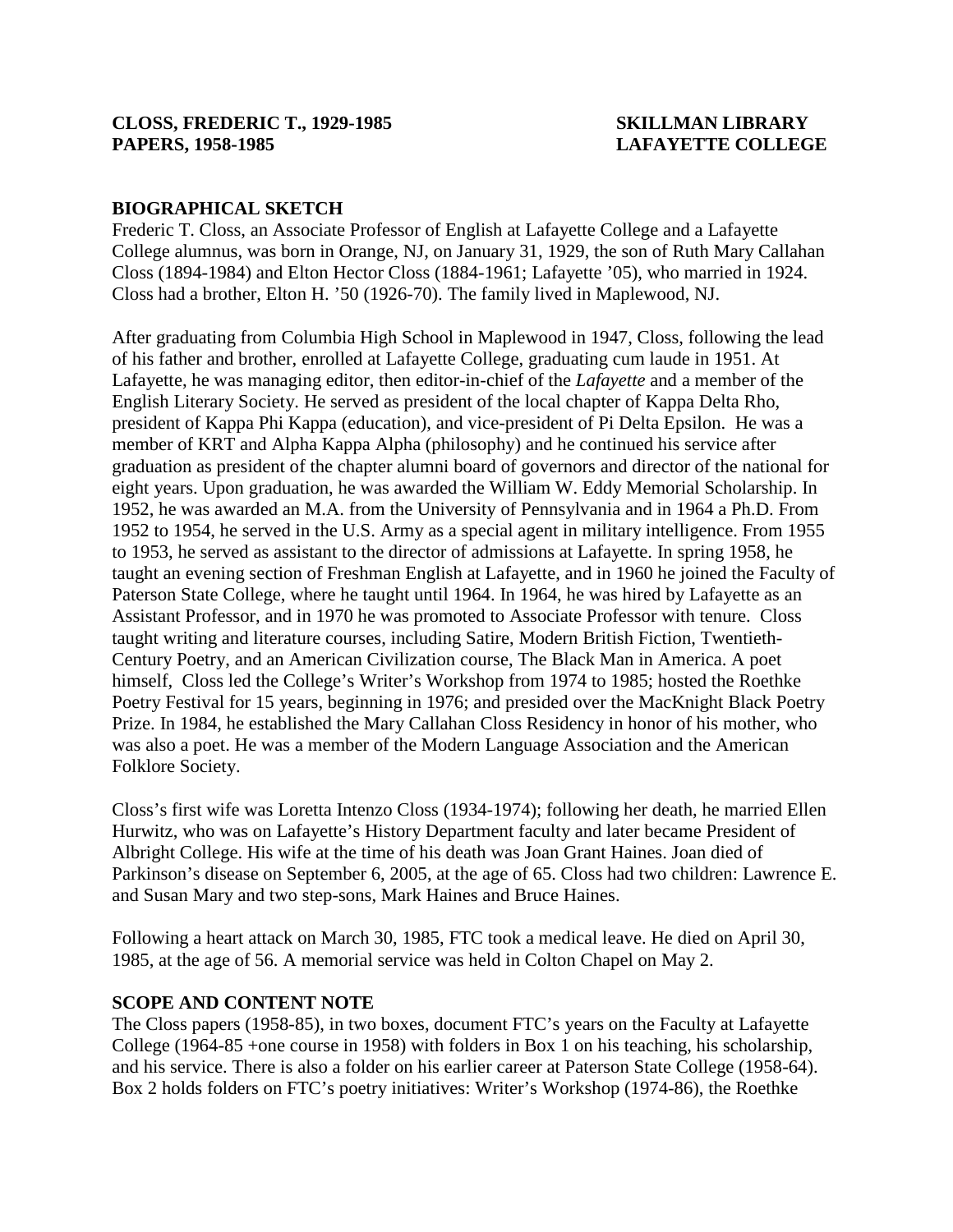# **BIOGRAPHICAL SKETCH**

Frederic T. Closs, an Associate Professor of English at Lafayette College and a Lafayette College alumnus, was born in Orange, NJ, on January 31, 1929, the son of Ruth Mary Callahan Closs (1894-1984) and Elton Hector Closs (1884-1961; Lafayette '05), who married in 1924. Closs had a brother, Elton H. '50 (1926-70). The family lived in Maplewood, NJ.

After graduating from Columbia High School in Maplewood in 1947, Closs, following the lead of his father and brother, enrolled at Lafayette College, graduating cum laude in 1951. At Lafayette, he was managing editor, then editor-in-chief of the *Lafayette* and a member of the English Literary Society. He served as president of the local chapter of Kappa Delta Rho, president of Kappa Phi Kappa (education), and vice-president of Pi Delta Epsilon. He was a member of KRT and Alpha Kappa Alpha (philosophy) and he continued his service after graduation as president of the chapter alumni board of governors and director of the national for eight years. Upon graduation, he was awarded the William W. Eddy Memorial Scholarship. In 1952, he was awarded an M.A. from the University of Pennsylvania and in 1964 a Ph.D. From 1952 to 1954, he served in the U.S. Army as a special agent in military intelligence. From 1955 to 1953, he served as assistant to the director of admissions at Lafayette. In spring 1958, he taught an evening section of Freshman English at Lafayette, and in 1960 he joined the Faculty of Paterson State College, where he taught until 1964. In 1964, he was hired by Lafayette as an Assistant Professor, and in 1970 he was promoted to Associate Professor with tenure. Closs taught writing and literature courses, including Satire, Modern British Fiction, Twentieth-Century Poetry, and an American Civilization course, The Black Man in America. A poet himself, Closs led the College's Writer's Workshop from 1974 to 1985; hosted the Roethke Poetry Festival for 15 years, beginning in 1976; and presided over the MacKnight Black Poetry Prize. In 1984, he established the Mary Callahan Closs Residency in honor of his mother, who was also a poet. He was a member of the Modern Language Association and the American Folklore Society.

Closs's first wife was Loretta Intenzo Closs (1934-1974); following her death, he married Ellen Hurwitz, who was on Lafayette's History Department faculty and later became President of Albright College. His wife at the time of his death was Joan Grant Haines. Joan died of Parkinson's disease on September 6, 2005, at the age of 65. Closs had two children: Lawrence E. and Susan Mary and two step-sons, Mark Haines and Bruce Haines.

Following a heart attack on March 30, 1985, FTC took a medical leave. He died on April 30, 1985, at the age of 56. A memorial service was held in Colton Chapel on May 2.

### **SCOPE AND CONTENT NOTE**

The Closs papers (1958-85), in two boxes, document FTC's years on the Faculty at Lafayette College (1964-85 +one course in 1958) with folders in Box 1 on his teaching, his scholarship, and his service. There is also a folder on his earlier career at Paterson State College (1958-64). Box 2 holds folders on FTC's poetry initiatives: Writer's Workshop (1974-86), the Roethke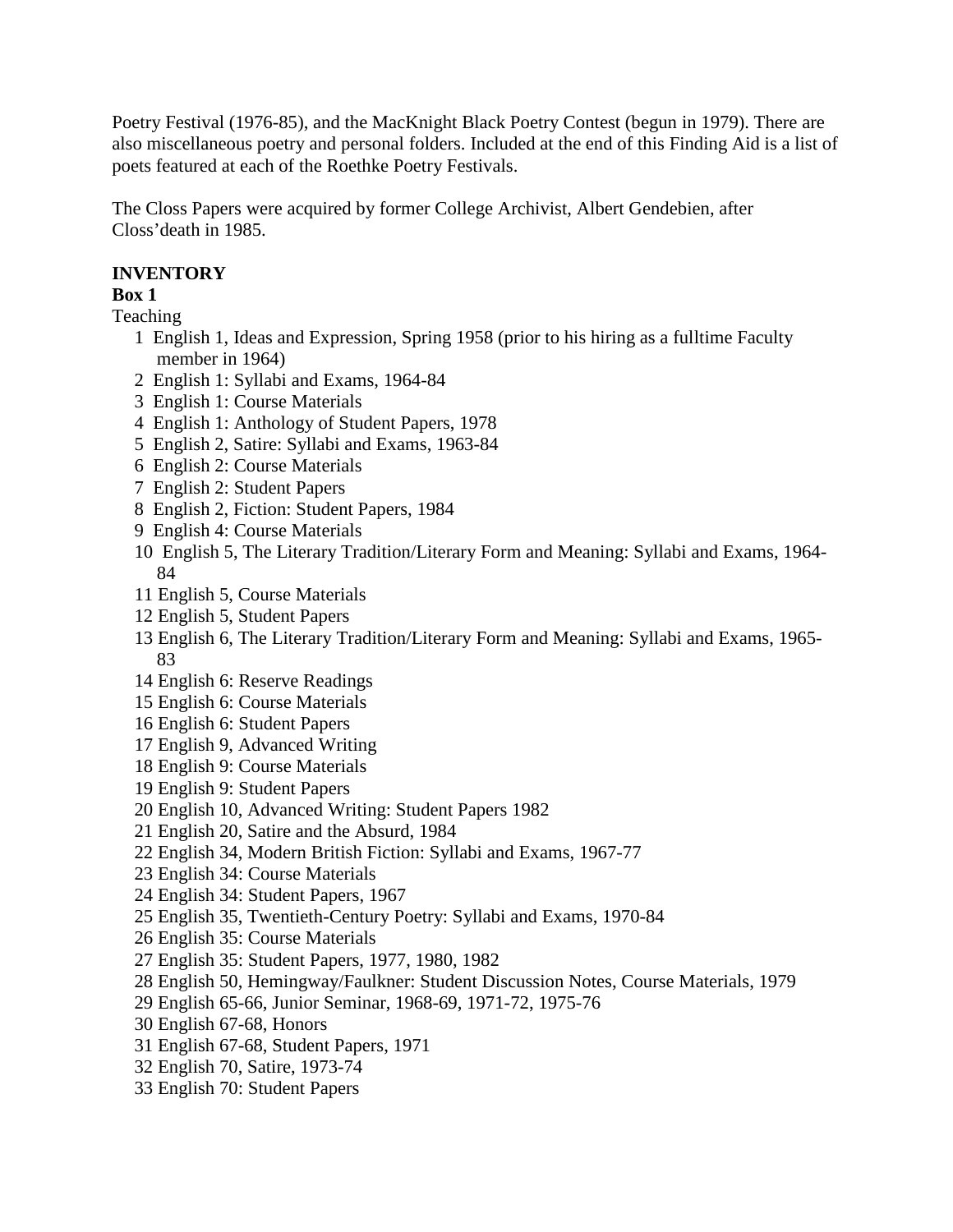Poetry Festival (1976-85), and the MacKnight Black Poetry Contest (begun in 1979). There are also miscellaneous poetry and personal folders. Included at the end of this Finding Aid is a list of poets featured at each of the Roethke Poetry Festivals.

The Closs Papers were acquired by former College Archivist, Albert Gendebien, after Closs'death in 1985.

# **INVENTORY**

## **Box 1**

Teaching

- 1 English 1, Ideas and Expression, Spring 1958 (prior to his hiring as a fulltime Faculty member in 1964)
- 2 English 1: Syllabi and Exams, 1964-84
- 3 English 1: Course Materials
- 4 English 1: Anthology of Student Papers, 1978
- 5 English 2, Satire: Syllabi and Exams, 1963-84
- 6 English 2: Course Materials
- 7 English 2: Student Papers
- 8 English 2, Fiction: Student Papers, 1984
- 9 English 4: Course Materials
- 10 English 5, The Literary Tradition/Literary Form and Meaning: Syllabi and Exams, 1964- 84
- 11 English 5, Course Materials
- 12 English 5, Student Papers
- 13 English 6, The Literary Tradition/Literary Form and Meaning: Syllabi and Exams, 1965- 83
- 14 English 6: Reserve Readings
- 15 English 6: Course Materials
- 16 English 6: Student Papers
- 17 English 9, Advanced Writing
- 18 English 9: Course Materials
- 19 English 9: Student Papers
- 20 English 10, Advanced Writing: Student Papers 1982
- 21 English 20, Satire and the Absurd, 1984
- 22 English 34, Modern British Fiction: Syllabi and Exams, 1967-77
- 23 English 34: Course Materials
- 24 English 34: Student Papers, 1967
- 25 English 35, Twentieth-Century Poetry: Syllabi and Exams, 1970-84
- 26 English 35: Course Materials
- 27 English 35: Student Papers, 1977, 1980, 1982
- 28 English 50, Hemingway/Faulkner: Student Discussion Notes, Course Materials, 1979
- 29 English 65-66, Junior Seminar, 1968-69, 1971-72, 1975-76
- 30 English 67-68, Honors
- 31 English 67-68, Student Papers, 1971
- 32 English 70, Satire, 1973-74
- 33 English 70: Student Papers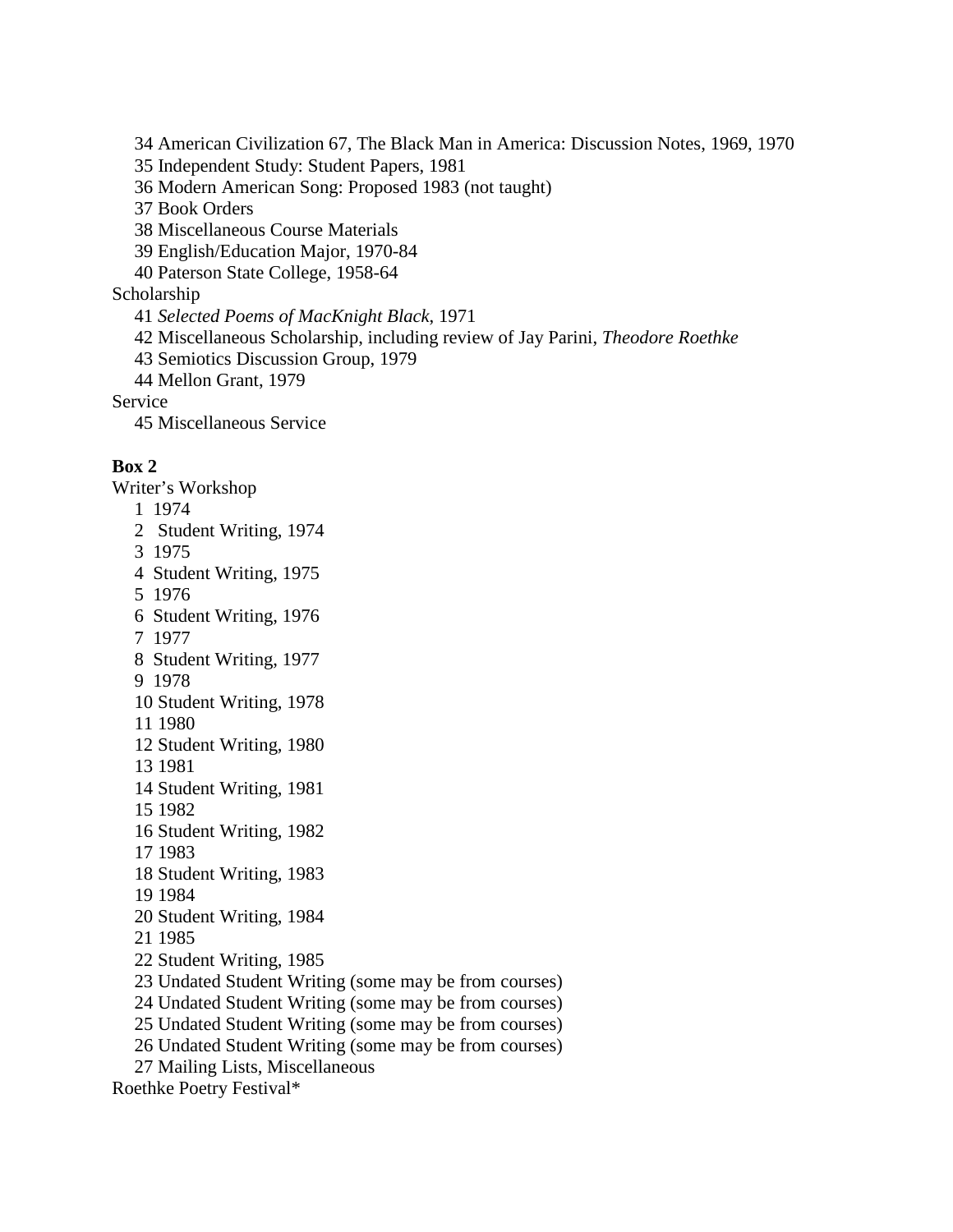34 American Civilization 67, The Black Man in America: Discussion Notes, 1969, 1970

35 Independent Study: Student Papers, 1981

36 Modern American Song: Proposed 1983 (not taught)

37 Book Orders

38 Miscellaneous Course Materials

39 English/Education Major, 1970-84

40 Paterson State College, 1958-64

Scholarship

41 *Selected Poems of MacKnight Black*, 1971

42 Miscellaneous Scholarship, including review of Jay Parini, *Theodore Roethke*

43 Semiotics Discussion Group, 1979

44 Mellon Grant, 1979

Service

45 Miscellaneous Service

## **Box 2**

Writer's Workshop

- 1 1974
- 2 Student Writing, 1974
- 3 1975
- 4 Student Writing, 1975
- 5 1976
- 6 Student Writing, 1976
- 7 1977
- 8 Student Writing, 1977
- 9 1978
- 10 Student Writing, 1978
- 11 1980
- 12 Student Writing, 1980
- 13 1981
- 14 Student Writing, 1981
- 15 1982
- 16 Student Writing, 1982
- 17 1983
- 18 Student Writing, 1983
- 19 1984
- 20 Student Writing, 1984
- 21 1985
- 22 Student Writing, 1985
- 23 Undated Student Writing (some may be from courses)
- 24 Undated Student Writing (some may be from courses)
- 25 Undated Student Writing (some may be from courses)
- 26 Undated Student Writing (some may be from courses)
- 27 Mailing Lists, Miscellaneous
- Roethke Poetry Festival\*